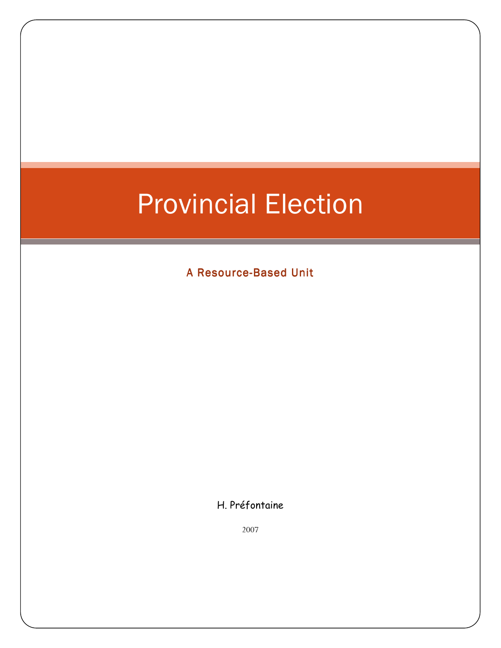## Provincial Election

A Resource-Based Unit

H. Préfontaine

2007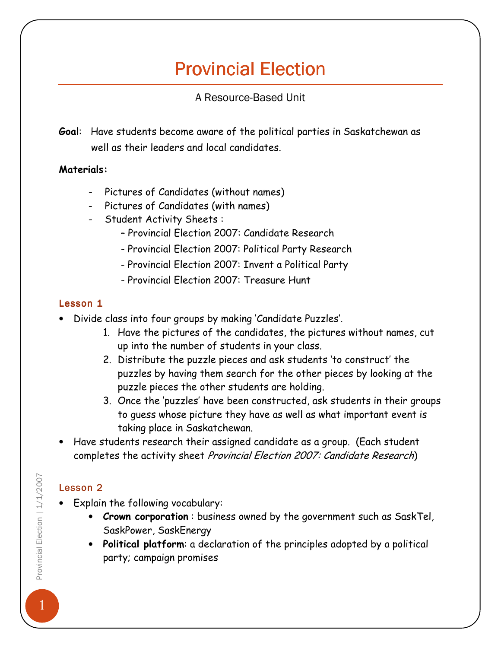### **Provincial Election**

### A Resource-Based Unit

Goal: Have students become aware of the political parties in Saskatchewan as well as their leaders and local candidates.

#### Materials:

- Pictures of Candidates (without names)
- Pictures of Candidates (with names)
- Student Activity Sheets :
	- Provincial Election 2007: Candidate Research
	- Provincial Election 2007: Political Party Research
	- Provincial Election 2007: Invent a Political Party
	- Provincial Election 2007: Treasure Hunt

#### Lesson 1

- Divide class into four groups by making 'Candidate Puzzles'.
	- 1. Have the pictures of the candidates, the pictures without names, cut up into the number of students in your class.
	- 2. Distribute the puzzle pieces and ask students 'to construct' the puzzles by having them search for the other pieces by looking at the puzzle pieces the other students are holding.
	- 3. Once the 'puzzles' have been constructed, ask students in their groups to guess whose picture they have as well as what important event is taking place in Saskatchewan.
- Have students research their assigned candidate as a group. (Each student completes the activity sheet Provincial Election 2007: Candidate Research)

### Lesson 2

- Explain the following vocabulary:
	- Crown corporation : business owned by the government such as SaskTel, SaskPower, SaskEnergy
	- Political platform: a declaration of the principles adopted by a political party; campaign promises

Provincial Election | 1/1/2007 Provincial Election | 1/1/2007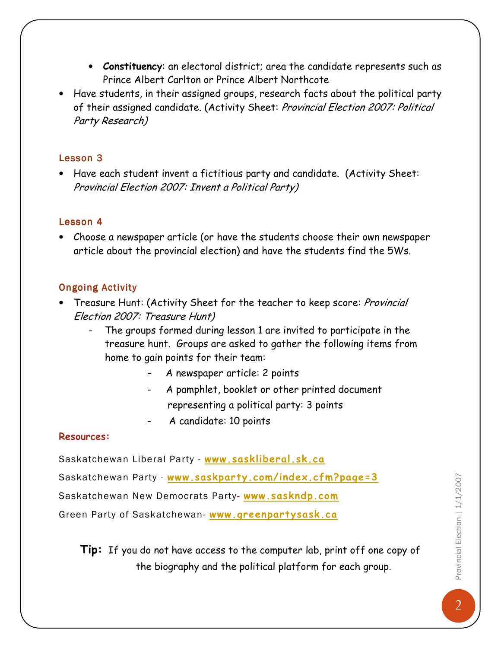- Constituency: an electoral district; area the candidate represents such as Prince Albert Carlton or Prince Albert Northcote
- Have students, in their assigned groups, research facts about the political party of their assigned candidate. (Activity Sheet: Provincial Election 2007: Political Party Research)

#### Lesson 3

• Have each student invent a fictitious party and candidate. (Activity Sheet: Provincial Election 2007: Invent a Political Party)

#### Lesson 4

• Choose a newspaper article (or have the students choose their own newspaper article about the provincial election) and have the students find the 5Ws.

#### **Ongoing Activity**

- Treasure Hunt: (Activity Sheet for the teacher to keep score: Provincial Election 2007: Treasure Hunt)
	- The groups formed during lesson 1 are invited to participate in the treasure hunt. Groups are asked to gather the following items from home to gain points for their team:
		- A newspaper article: 2 points
		- A pamphlet, booklet or other printed document representing a political party: 3 points
		- A candidate: 10 points

#### Resources:

Saskatchewan Liberal Party - www.saskliberal.sk.ca

Saskatchewan Party - www.saskparty.com/index.cfm?page=3

Saskatchewan New Democrats Party- www.saskndp.com

Green Party of Saskatchewan- www.greenpartysask.ca

**Tip:** If you do not have access to the computer lab, print off one copy of the biography and the political platform for each group.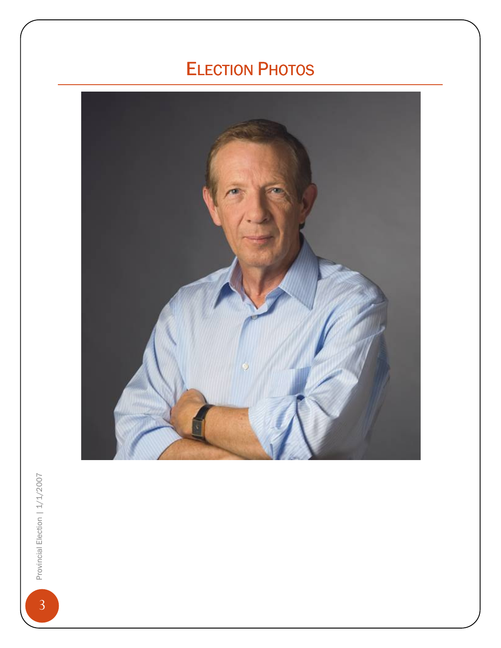### ELECTION PHOTOS

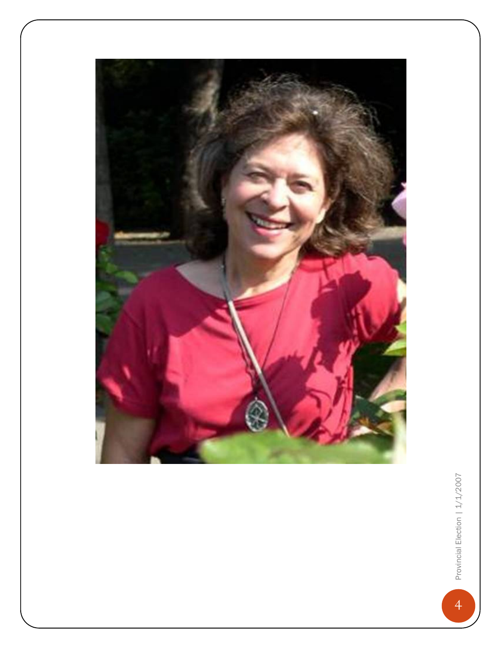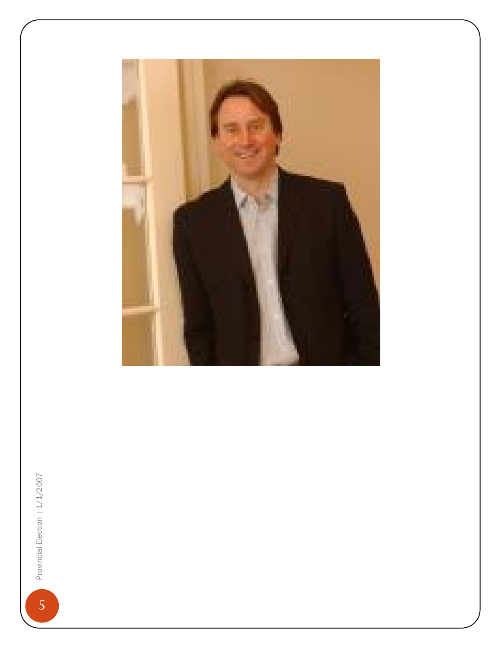

Provincial Election | 1/1/2007 Provincial Election | 1/1/2007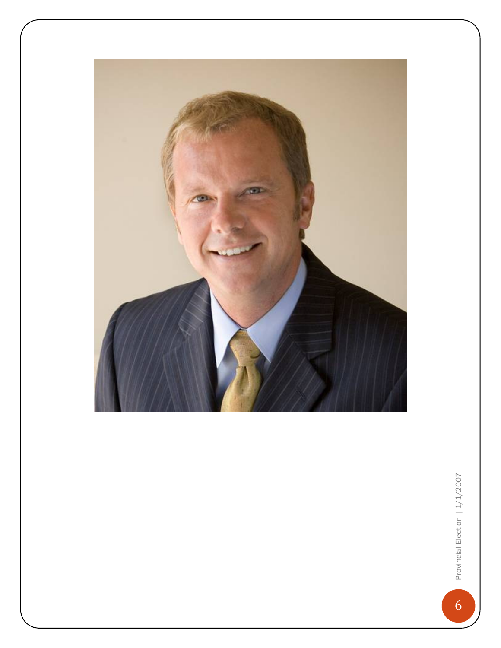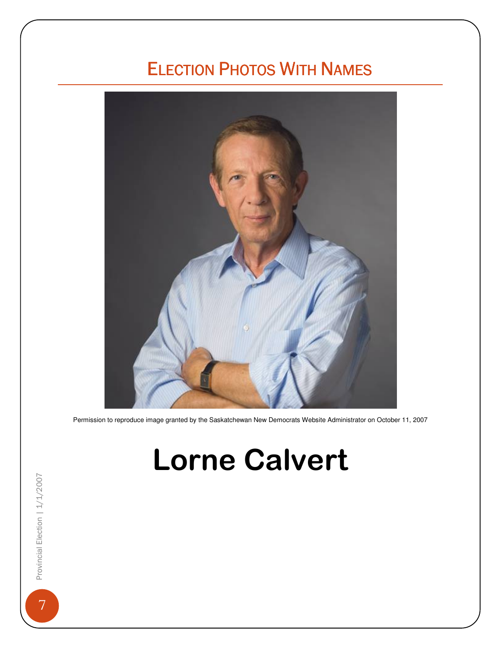### **ELECTION PHOTOS WITH NAMES**



Permission to reproduce image granted by the Saskatchewan New Democrats Website Administrator on October 11, 2007

## Lorne Calvert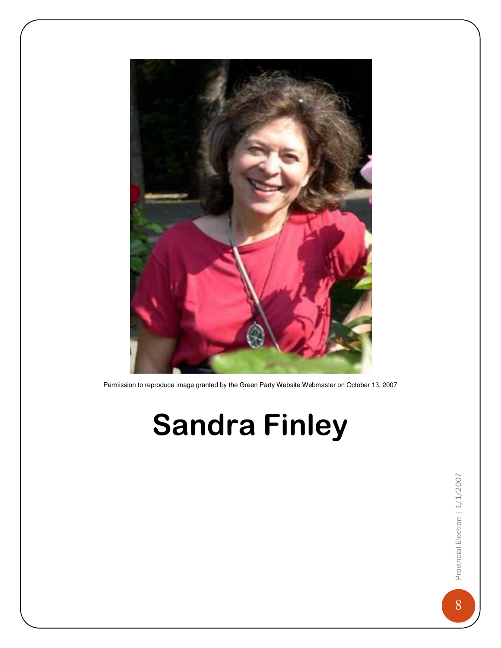

Permission to reproduce image granted by the Green Party Website Webmaster on October 13, 2007

# Sandra Finley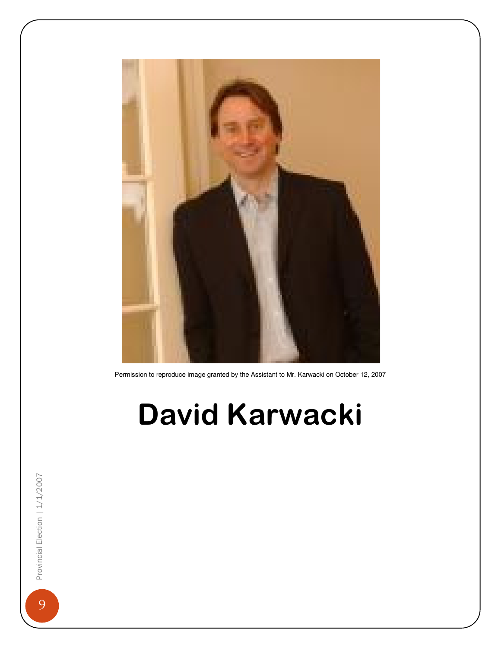

Permission to reproduce image granted by the Assistant to Mr. Karwacki on October 12, 2007

# David Karwacki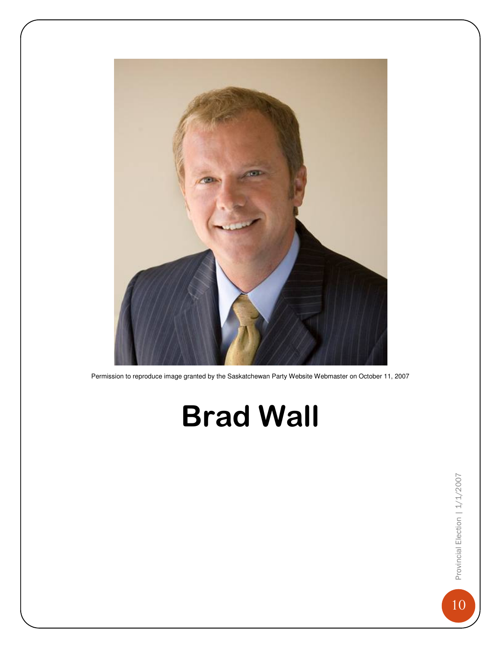

Permission to reproduce image granted by the Saskatchewan Party Website Webmaster on October 11, 2007

# Brad Wall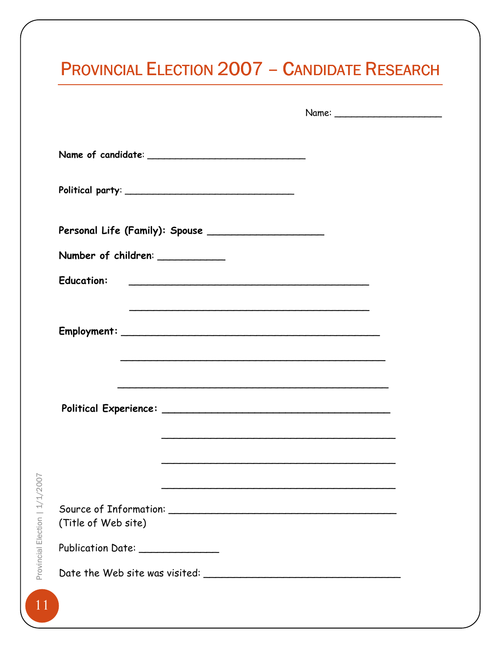| Number of children: ____________ |                                                               |
|----------------------------------|---------------------------------------------------------------|
| <b>Education:</b>                | <u> 1980 - Johann Barn, fransk politik fotograf (d. 1980)</u> |
|                                  |                                                               |
| <b>Political Experience:</b>     |                                                               |
|                                  |                                                               |
|                                  |                                                               |
| (Title of Web site)              |                                                               |
| Publication Date: ______________ |                                                               |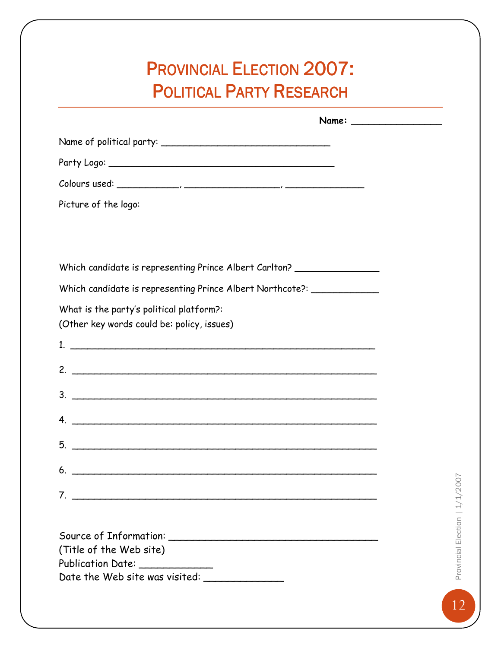### PROVINCIAL ELECTION 2007: POLITICAL PARTY RESEARCH

|                                                                                  | Name: ________________________ |
|----------------------------------------------------------------------------------|--------------------------------|
|                                                                                  |                                |
|                                                                                  |                                |
|                                                                                  |                                |
| Picture of the logo:                                                             |                                |
|                                                                                  |                                |
|                                                                                  |                                |
| Which candidate is representing Prince Albert Carlton? _________________________ |                                |
| Which candidate is representing Prince Albert Northcote?: ______________         |                                |
| What is the party's political platform?:                                         |                                |
| (Other key words could be: policy, issues)                                       |                                |
|                                                                                  |                                |
| $2.$ $\overline{\phantom{a}}$                                                    |                                |
|                                                                                  |                                |
|                                                                                  |                                |
|                                                                                  |                                |
| $5.$ $\overline{\phantom{a}}$                                                    |                                |
| 6.                                                                               |                                |
| 7.                                                                               |                                |
|                                                                                  |                                |
|                                                                                  |                                |
| (Title of the Web site)<br>Publication Date: _____________                       |                                |
| Date the Web site was visited: _____________                                     |                                |
|                                                                                  |                                |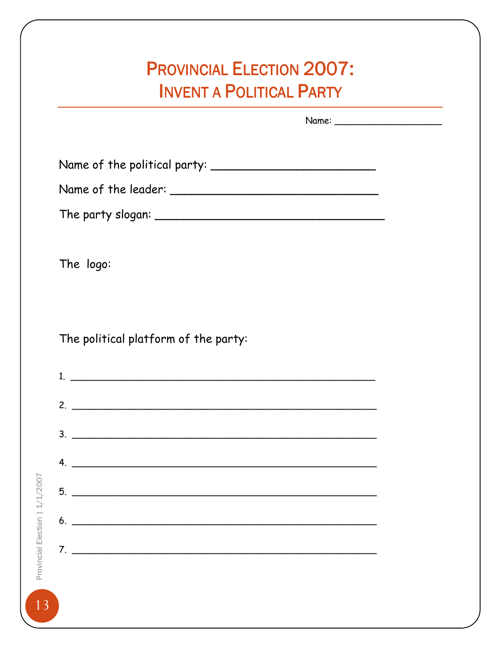### **PROVINCIAL ELECTION 2007: INVENT A POLITICAL PARTY**

| The logo:<br>The political platform of the party:<br>$1.$ $\overline{\phantom{a}}$<br>$3.$ $\overline{\phantom{a}}$<br>4.<br>5.<br>6.<br>7. |  |  |
|---------------------------------------------------------------------------------------------------------------------------------------------|--|--|
|                                                                                                                                             |  |  |
|                                                                                                                                             |  |  |
|                                                                                                                                             |  |  |
|                                                                                                                                             |  |  |
|                                                                                                                                             |  |  |
|                                                                                                                                             |  |  |
|                                                                                                                                             |  |  |
|                                                                                                                                             |  |  |
|                                                                                                                                             |  |  |
|                                                                                                                                             |  |  |
|                                                                                                                                             |  |  |
|                                                                                                                                             |  |  |
|                                                                                                                                             |  |  |